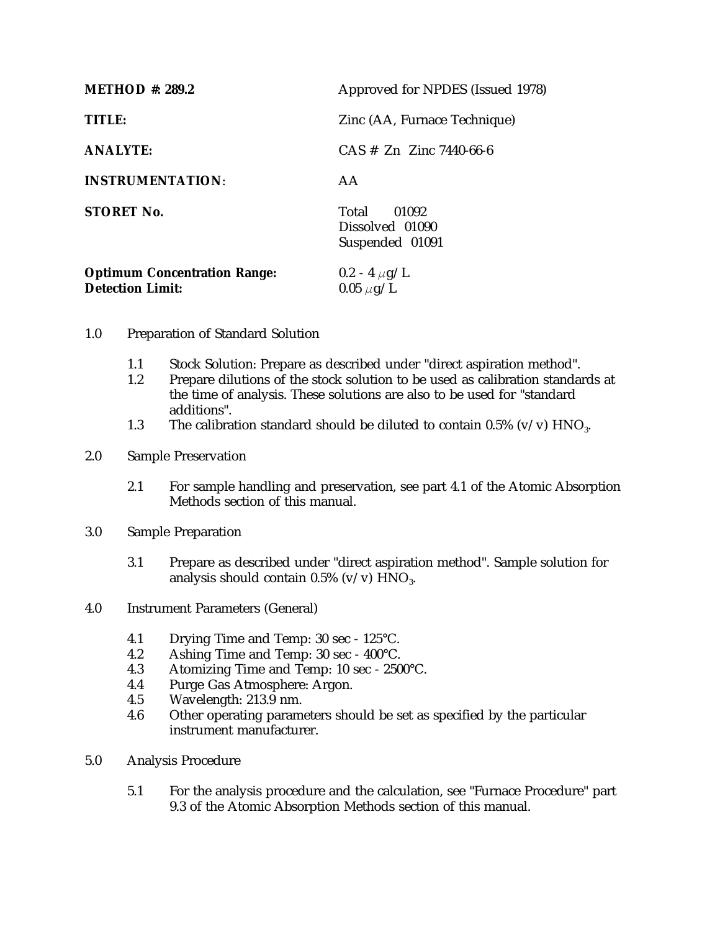| <b>METHOD #: 289.2</b>                                         | Approved for NPDES (Issued 1978)                     |
|----------------------------------------------------------------|------------------------------------------------------|
| TITLE:                                                         | Zinc (AA, Furnace Technique)                         |
| <b>ANALYTE:</b>                                                | $CAS \# Zn$ Zinc 7440-66-6                           |
| <b>INSTRUMENTATION:</b>                                        | AA                                                   |
| <b>STORET No.</b>                                              | Total<br>01092<br>Dissolved 01090<br>Suspended 01091 |
| <b>Optimum Concentration Range:</b><br><b>Detection Limit:</b> | $0.2 - 4 \mu g/L$<br>$0.05 \ \mu g/L$                |

- 1.0 Preparation of Standard Solution
	- 1.1 Stock Solution: Prepare as described under "direct aspiration method".<br>1.2 Prepare dilutions of the stock solution to be used as calibration standa
	- Prepare dilutions of the stock solution to be used as calibration standards at the time of analysis. These solutions are also to be used for "standard additions".
	- 1.3 The calibration standard should be diluted to contain 0.5% (v/v)  $HNO<sub>3</sub>$ .
- 2.0 Sample Preservation
	- 2.1 For sample handling and preservation, see part 4.1 of the Atomic Absorption Methods section of this manual.
- 3.0 Sample Preparation
	- 3.1 Prepare as described under "direct aspiration method". Sample solution for analysis should contain  $0.5\%$  (v/v)  $HNO<sub>3</sub>$ .
- 4.0 Instrument Parameters (General)
	- 4.1 Drying Time and Temp: 30 sec 125°C.<br>4.2 Ashing Time and Temp: 30 sec 400°C.
	- Ashing Time and Temp: 30 sec 400°C.
	- 4.3 Atomizing Time and Temp: 10 sec 2500°C.
	- 4.4 Purge Gas Atmosphere: Argon.
	- 4.5 Wavelength: 213.9 nm.<br>4.6 Other operating parame
	- Other operating parameters should be set as specified by the particular instrument manufacturer.
- 5.0 Analysis Procedure
	- 5.1 For the analysis procedure and the calculation, see "Furnace Procedure" part 9.3 of the Atomic Absorption Methods section of this manual.